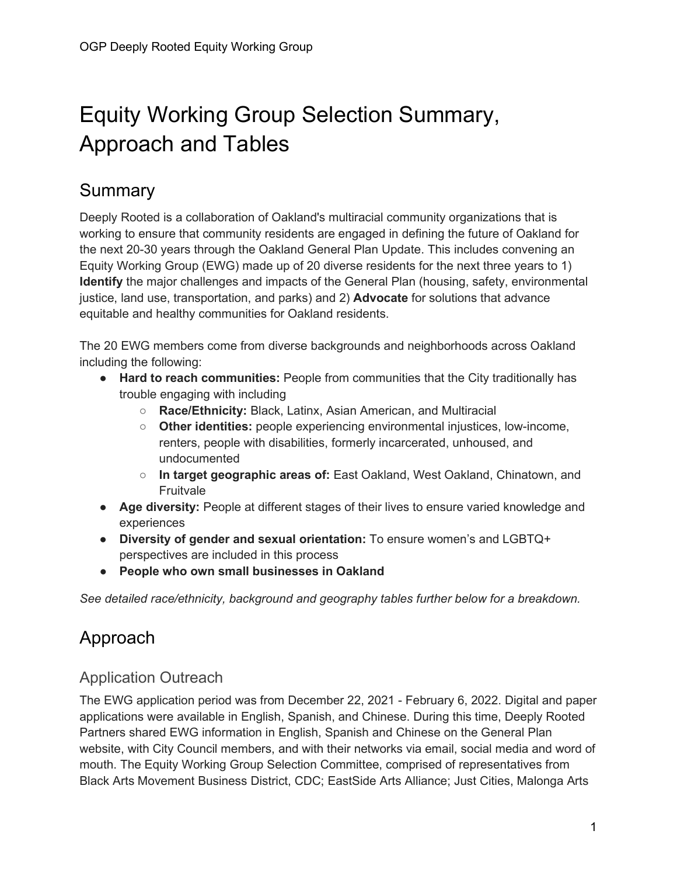# Equity Working Group Selection Summary, Approach and Tables

## **Summary**

Deeply Rooted is a collaboration of Oakland's multiracial community organizations that is working to ensure that community residents are engaged in defining the future of Oakland for the next 20-30 years through the Oakland General Plan Update. This includes convening an Equity Working Group (EWG) made up of 20 diverse residents for the next three years to 1) **Identify** the major challenges and impacts of the General Plan (housing, safety, environmental justice, land use, transportation, and parks) and 2) **Advocate** for solutions that advance equitable and healthy communities for Oakland residents.

The 20 EWG members come from diverse backgrounds and neighborhoods across Oakland including the following:

- **Hard to reach communities:** People from communities that the City traditionally has trouble engaging with including
	- **Race/Ethnicity:** Black, Latinx, Asian American, and Multiracial
	- **Other identities:** people experiencing environmental injustices, low-income, renters, people with disabilities, formerly incarcerated, unhoused, and undocumented
	- **In target geographic areas of:** East Oakland, West Oakland, Chinatown, and **Fruitvale**
- **Age diversity:** People at different stages of their lives to ensure varied knowledge and experiences
- **Diversity of gender and sexual orientation:** To ensure women's and LGBTQ+ perspectives are included in this process
- **People who own small businesses in Oakland**

*See detailed race/ethnicity, background and geography tables further below for a breakdown.*

# Approach

#### Application Outreach

The EWG application period was from December 22, 2021 - February 6, 2022. Digital and paper applications were available in English, Spanish, and Chinese. During this time, Deeply Rooted Partners shared EWG information in English, Spanish and Chinese on the General Plan website, with City Council members, and with their networks via email, social media and word of mouth. The Equity Working Group Selection Committee, comprised of representatives from Black Arts Movement Business District, CDC; EastSide Arts Alliance; Just Cities, Malonga Arts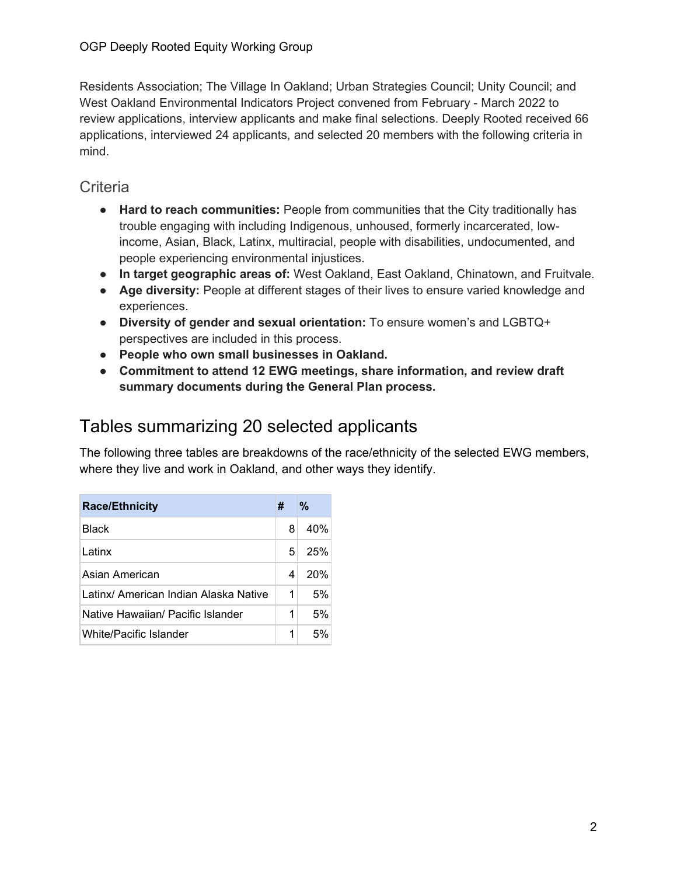Residents Association; The Village In Oakland; Urban Strategies Council; Unity Council; and West Oakland Environmental Indicators Project convened from February - March 2022 to review applications, interview applicants and make final selections. Deeply Rooted received 66 applications, interviewed 24 applicants, and selected 20 members with the following criteria in mind.

#### **Criteria**

- **Hard to reach communities:** People from communities that the City traditionally has trouble engaging with including Indigenous, unhoused, formerly incarcerated, lowincome, Asian, Black, Latinx, multiracial, people with disabilities, undocumented, and people experiencing environmental injustices.
- **In target geographic areas of:** West Oakland, East Oakland, Chinatown, and Fruitvale.
- **Age diversity:** People at different stages of their lives to ensure varied knowledge and experiences.
- **Diversity of gender and sexual orientation:** To ensure women's and LGBTQ+ perspectives are included in this process.
- **People who own small businesses in Oakland.**
- **Commitment to attend 12 EWG meetings, share information, and review draft summary documents during the General Plan process.**

## Tables summarizing 20 selected applicants

The following three tables are breakdowns of the race/ethnicity of the selected EWG members, where they live and work in Oakland, and other ways they identify.

| <b>Race/Ethnicity</b>                 | # | %   |
|---------------------------------------|---|-----|
| Black                                 | 8 | 40% |
| Latinx                                | 5 | 25% |
| Asian American                        | 4 | 20% |
| Latinx/ American Indian Alaska Native | 1 | 5%  |
| Native Hawaiian/ Pacific Islander     | 1 | 5%  |
| White/Pacific Islander                | 1 | .5% |